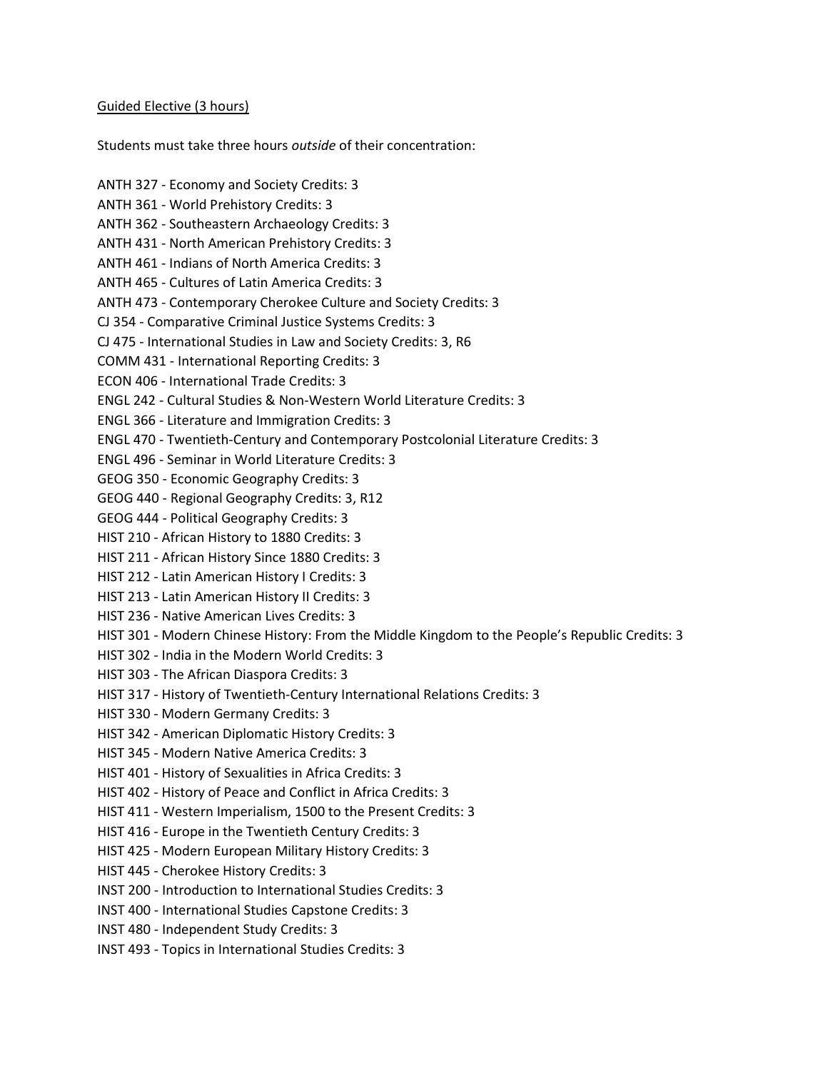## Guided Elective (3 hours)

Students must take three hours outside of their concentration:

ANTH 327 - Economy and Society Credits: 3 ANTH 361 - World Prehistory Credits: 3 ANTH 362 - Southeastern Archaeology Credits: 3 ANTH 431 - North American Prehistory Credits: 3 ANTH 461 - Indians of North America Credits: 3 ANTH 465 - Cultures of Latin America Credits: 3 ANTH 473 - Contemporary Cherokee Culture and Society Credits: 3 CJ 354 - Comparative Criminal Justice Systems Credits: 3 CJ 475 - International Studies in Law and Society Credits: 3, R6 COMM 431 - International Reporting Credits: 3 ECON 406 - International Trade Credits: 3 ENGL 242 - Cultural Studies & Non-Western World Literature Credits: 3 ENGL 366 - Literature and Immigration Credits: 3 ENGL 470 - Twentieth-Century and Contemporary Postcolonial Literature Credits: 3 ENGL 496 - Seminar in World Literature Credits: 3 GEOG 350 - Economic Geography Credits: 3 GEOG 440 - Regional Geography Credits: 3, R12 GEOG 444 - Political Geography Credits: 3 HIST 210 - African History to 1880 Credits: 3 HIST 211 - African History Since 1880 Credits: 3 HIST 212 - Latin American History I Credits: 3 HIST 213 - Latin American History II Credits: 3 HIST 236 - Native American Lives Credits: 3 HIST 301 - Modern Chinese History: From the Middle Kingdom to the People's Republic Credits: 3 HIST 302 - India in the Modern World Credits: 3 HIST 303 - The African Diaspora Credits: 3 HIST 317 - History of Twentieth-Century International Relations Credits: 3 HIST 330 - Modern Germany Credits: 3 HIST 342 - American Diplomatic History Credits: 3 HIST 345 - Modern Native America Credits: 3 HIST 401 - History of Sexualities in Africa Credits: 3 HIST 402 - History of Peace and Conflict in Africa Credits: 3 HIST 411 - Western Imperialism, 1500 to the Present Credits: 3 HIST 416 - Europe in the Twentieth Century Credits: 3 HIST 425 - Modern European Military History Credits: 3 HIST 445 - Cherokee History Credits: 3 INST 200 - Introduction to International Studies Credits: 3 INST 400 - International Studies Capstone Credits: 3 INST 480 - Independent Study Credits: 3 INST 493 - Topics in International Studies Credits: 3